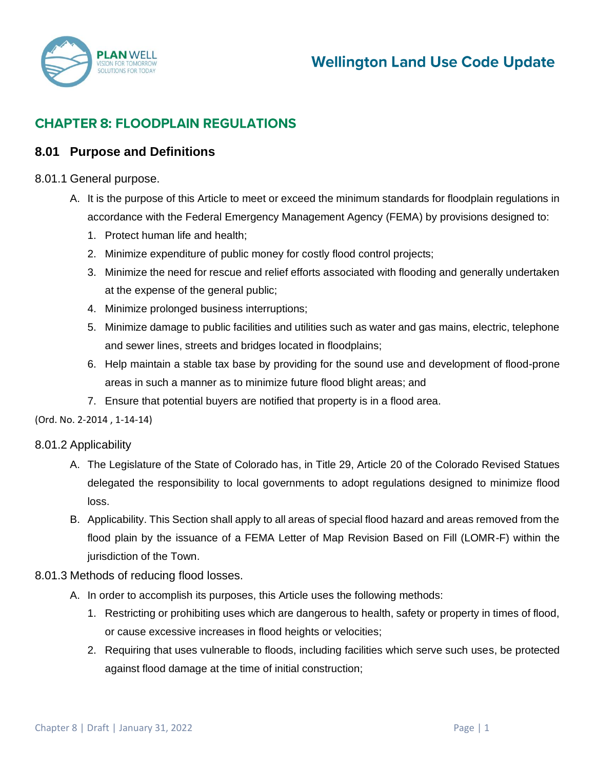

# **CHAPTER 8: FLOODPLAIN REGULATIONS**

# **8.01 Purpose and Definitions**

#### 8.01.1 General purpose.

- A. It is the purpose of this Article to meet or exceed the minimum standards for floodplain regulations in accordance with the Federal Emergency Management Agency (FEMA) by provisions designed to:
	- 1. Protect human life and health;
	- 2. Minimize expenditure of public money for costly flood control projects;
	- 3. Minimize the need for rescue and relief efforts associated with flooding and generally undertaken at the expense of the general public;
	- 4. Minimize prolonged business interruptions;
	- 5. Minimize damage to public facilities and utilities such as water and gas mains, electric, telephone and sewer lines, streets and bridges located in floodplains;
	- 6. Help maintain a stable tax base by providing for the sound use and development of flood-prone areas in such a manner as to minimize future flood blight areas; and
	- 7. Ensure that potential buyers are notified that property is in a flood area.

(Ord. No[. 2-2014 ,](http://newords.municode.com/readordinance.aspx?ordinanceid=823163&datasource=ordbank) 1-14-14)

#### 8.01.2 Applicability

- A. The Legislature of the State of Colorado has, in Title 29, Article 20 of the Colorado Revised Statues delegated the responsibility to local governments to adopt regulations designed to minimize flood loss.
- B. Applicability. This Section shall apply to all areas of special flood hazard and areas removed from the flood plain by the issuance of a FEMA Letter of Map Revision Based on Fill (LOMR-F) within the jurisdiction of the Town.

#### 8.01.3 Methods of reducing flood losses.

- A. In order to accomplish its purposes, this Article uses the following methods:
	- 1. Restricting or prohibiting uses which are dangerous to health, safety or property in times of flood, or cause excessive increases in flood heights or velocities;
	- 2. Requiring that uses vulnerable to floods, including facilities which serve such uses, be protected against flood damage at the time of initial construction;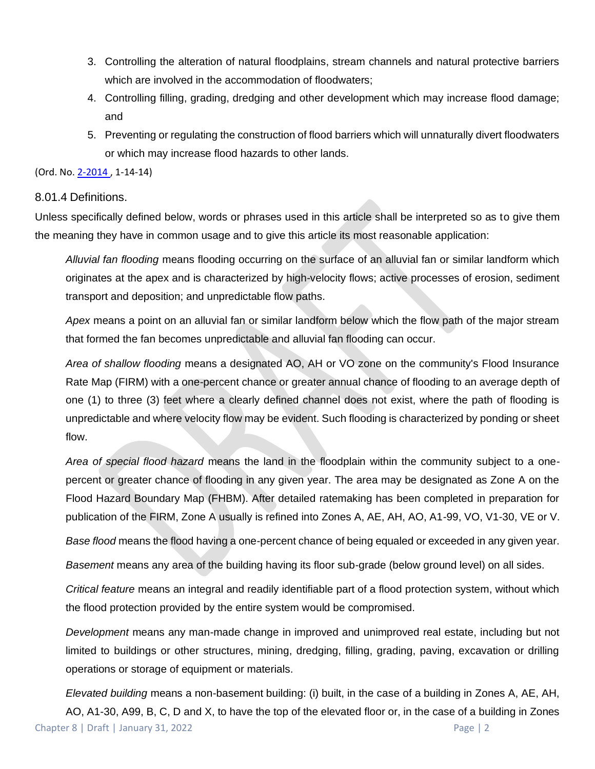- 3. Controlling the alteration of natural floodplains, stream channels and natural protective barriers which are involved in the accommodation of floodwaters;
- 4. Controlling filling, grading, dredging and other development which may increase flood damage; and
- 5. Preventing or regulating the construction of flood barriers which will unnaturally divert floodwaters or which may increase flood hazards to other lands.

### 8.01.4 Definitions.

Unless specifically defined below, words or phrases used in this article shall be interpreted so as to give them the meaning they have in common usage and to give this article its most reasonable application:

*Alluvial fan flooding* means flooding occurring on the surface of an alluvial fan or similar landform which originates at the apex and is characterized by high-velocity flows; active processes of erosion, sediment transport and deposition; and unpredictable flow paths.

*Apex* means a point on an alluvial fan or similar landform below which the flow path of the major stream that formed the fan becomes unpredictable and alluvial fan flooding can occur.

*Area of shallow flooding* means a designated AO, AH or VO zone on the community's Flood Insurance Rate Map (FIRM) with a one-percent chance or greater annual chance of flooding to an average depth of one (1) to three (3) feet where a clearly defined channel does not exist, where the path of flooding is unpredictable and where velocity flow may be evident. Such flooding is characterized by ponding or sheet flow.

*Area of special flood hazard* means the land in the floodplain within the community subject to a onepercent or greater chance of flooding in any given year. The area may be designated as Zone A on the Flood Hazard Boundary Map (FHBM). After detailed ratemaking has been completed in preparation for publication of the FIRM, Zone A usually is refined into Zones A, AE, AH, AO, A1-99, VO, V1-30, VE or V.

*Base flood* means the flood having a one-percent chance of being equaled or exceeded in any given year.

*Basement* means any area of the building having its floor sub-grade (below ground level) on all sides.

*Critical feature* means an integral and readily identifiable part of a flood protection system, without which the flood protection provided by the entire system would be compromised.

*Development* means any man-made change in improved and unimproved real estate, including but not limited to buildings or other structures, mining, dredging, filling, grading, paving, excavation or drilling operations or storage of equipment or materials.

Chapter 8 | Draft | January 31, 2022 Page | 2 *Elevated building* means a non-basement building: (i) built, in the case of a building in Zones A, AE, AH, AO, A1-30, A99, B, C, D and X, to have the top of the elevated floor or, in the case of a building in Zones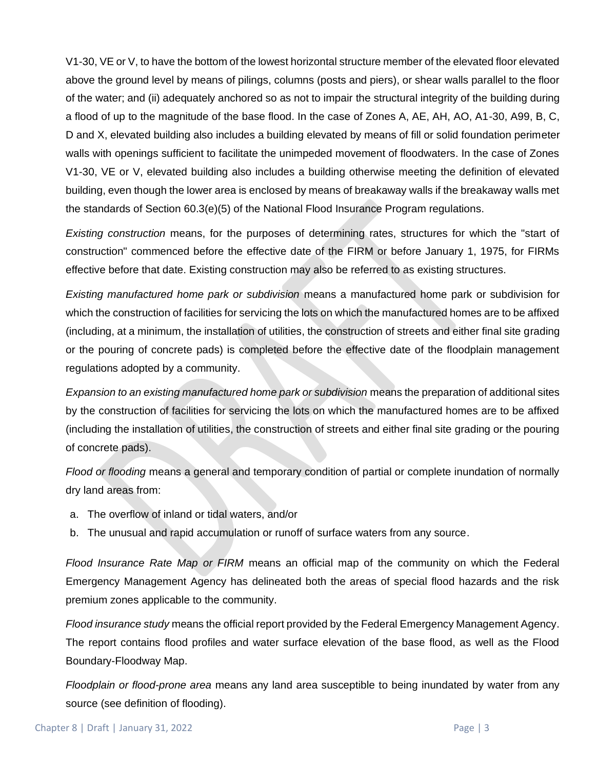V1-30, VE or V, to have the bottom of the lowest horizontal structure member of the elevated floor elevated above the ground level by means of pilings, columns (posts and piers), or shear walls parallel to the floor of the water; and (ii) adequately anchored so as not to impair the structural integrity of the building during a flood of up to the magnitude of the base flood. In the case of Zones A, AE, AH, AO, A1-30, A99, B, C, D and X, elevated building also includes a building elevated by means of fill or solid foundation perimeter walls with openings sufficient to facilitate the unimpeded movement of floodwaters. In the case of Zones V1-30, VE or V, elevated building also includes a building otherwise meeting the definition of elevated building, even though the lower area is enclosed by means of breakaway walls if the breakaway walls met the standards of Section 60.3(e)(5) of the National Flood Insurance Program regulations.

*Existing construction* means, for the purposes of determining rates, structures for which the "start of construction" commenced before the effective date of the FIRM or before January 1, 1975, for FIRMs effective before that date. Existing construction may also be referred to as existing structures.

*Existing manufactured home park or subdivision* means a manufactured home park or subdivision for which the construction of facilities for servicing the lots on which the manufactured homes are to be affixed (including, at a minimum, the installation of utilities, the construction of streets and either final site grading or the pouring of concrete pads) is completed before the effective date of the floodplain management regulations adopted by a community.

*Expansion to an existing manufactured home park or subdivision* means the preparation of additional sites by the construction of facilities for servicing the lots on which the manufactured homes are to be affixed (including the installation of utilities, the construction of streets and either final site grading or the pouring of concrete pads).

*Flood or flooding* means a general and temporary condition of partial or complete inundation of normally dry land areas from:

- a. The overflow of inland or tidal waters, and/or
- b. The unusual and rapid accumulation or runoff of surface waters from any source.

*Flood Insurance Rate Map or FIRM* means an official map of the community on which the Federal Emergency Management Agency has delineated both the areas of special flood hazards and the risk premium zones applicable to the community.

*Flood insurance study* means the official report provided by the Federal Emergency Management Agency. The report contains flood profiles and water surface elevation of the base flood, as well as the Flood Boundary-Floodway Map.

*Floodplain or flood-prone area* means any land area susceptible to being inundated by water from any source (see definition of flooding).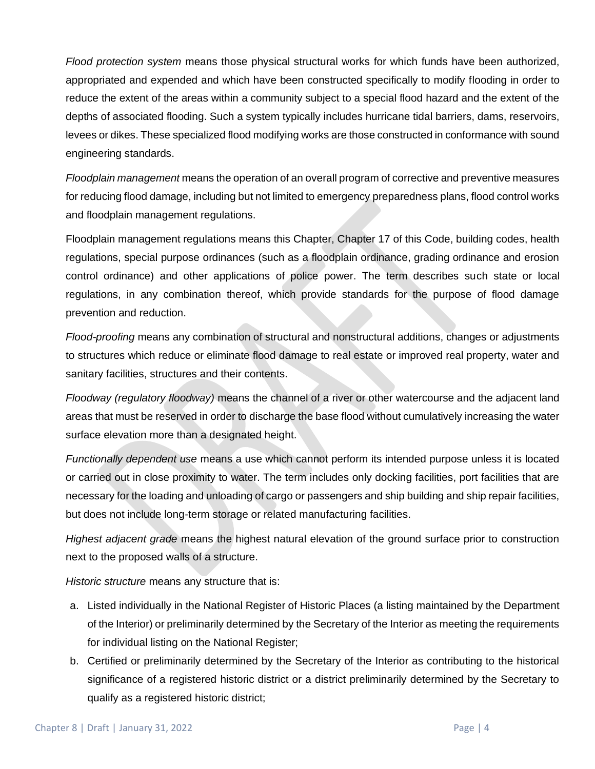*Flood protection system* means those physical structural works for which funds have been authorized, appropriated and expended and which have been constructed specifically to modify flooding in order to reduce the extent of the areas within a community subject to a special flood hazard and the extent of the depths of associated flooding. Such a system typically includes hurricane tidal barriers, dams, reservoirs, levees or dikes. These specialized flood modifying works are those constructed in conformance with sound engineering standards.

*Floodplain management* means the operation of an overall program of corrective and preventive measures for reducing flood damage, including but not limited to emergency preparedness plans, flood control works and floodplain management regulations.

Floodplain management regulations means this Chapter, Chapter 17 of this Code, building codes, health regulations, special purpose ordinances (such as a floodplain ordinance, grading ordinance and erosion control ordinance) and other applications of police power. The term describes such state or local regulations, in any combination thereof, which provide standards for the purpose of flood damage prevention and reduction.

*Flood-proofing* means any combination of structural and nonstructural additions, changes or adjustments to structures which reduce or eliminate flood damage to real estate or improved real property, water and sanitary facilities, structures and their contents.

*Floodway (regulatory floodway)* means the channel of a river or other watercourse and the adjacent land areas that must be reserved in order to discharge the base flood without cumulatively increasing the water surface elevation more than a designated height.

*Functionally dependent use* means a use which cannot perform its intended purpose unless it is located or carried out in close proximity to water. The term includes only docking facilities, port facilities that are necessary for the loading and unloading of cargo or passengers and ship building and ship repair facilities, but does not include long-term storage or related manufacturing facilities.

*Highest adjacent grade* means the highest natural elevation of the ground surface prior to construction next to the proposed walls of a structure.

*Historic structure* means any structure that is:

- a. Listed individually in the National Register of Historic Places (a listing maintained by the Department of the Interior) or preliminarily determined by the Secretary of the Interior as meeting the requirements for individual listing on the National Register;
- b. Certified or preliminarily determined by the Secretary of the Interior as contributing to the historical significance of a registered historic district or a district preliminarily determined by the Secretary to qualify as a registered historic district;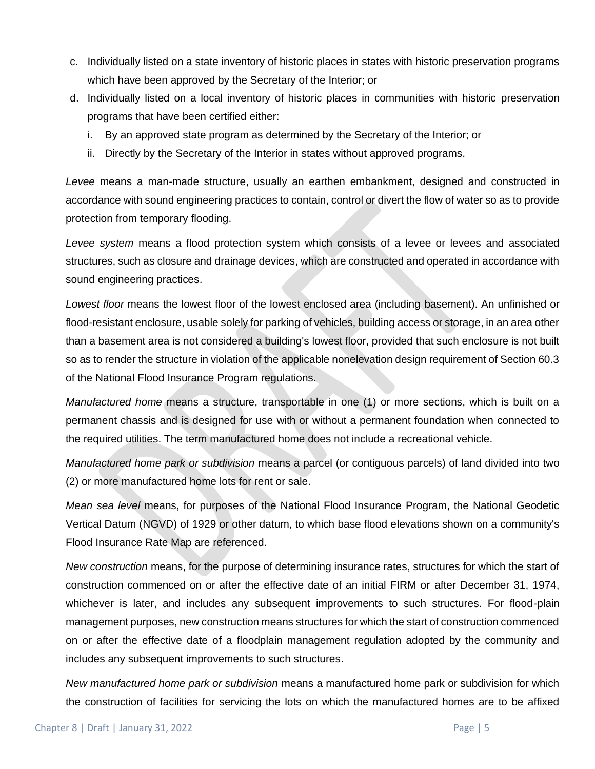- c. Individually listed on a state inventory of historic places in states with historic preservation programs which have been approved by the Secretary of the Interior; or
- d. Individually listed on a local inventory of historic places in communities with historic preservation programs that have been certified either:
	- i. By an approved state program as determined by the Secretary of the Interior; or
	- ii. Directly by the Secretary of the Interior in states without approved programs.

*Levee* means a man-made structure, usually an earthen embankment, designed and constructed in accordance with sound engineering practices to contain, control or divert the flow of water so as to provide protection from temporary flooding.

*Levee system* means a flood protection system which consists of a levee or levees and associated structures, such as closure and drainage devices, which are constructed and operated in accordance with sound engineering practices.

*Lowest floor* means the lowest floor of the lowest enclosed area (including basement). An unfinished or flood-resistant enclosure, usable solely for parking of vehicles, building access or storage, in an area other than a basement area is not considered a building's lowest floor, provided that such enclosure is not built so as to render the structure in violation of the applicable nonelevation design requirement of Section 60.3 of the National Flood Insurance Program regulations.

*Manufactured home* means a structure, transportable in one (1) or more sections, which is built on a permanent chassis and is designed for use with or without a permanent foundation when connected to the required utilities. The term manufactured home does not include a recreational vehicle.

*Manufactured home park or subdivision* means a parcel (or contiguous parcels) of land divided into two (2) or more manufactured home lots for rent or sale.

*Mean sea level* means, for purposes of the National Flood Insurance Program, the National Geodetic Vertical Datum (NGVD) of 1929 or other datum, to which base flood elevations shown on a community's Flood Insurance Rate Map are referenced.

*New construction* means, for the purpose of determining insurance rates, structures for which the start of construction commenced on or after the effective date of an initial FIRM or after December 31, 1974, whichever is later, and includes any subsequent improvements to such structures. For flood-plain management purposes, new construction means structures for which the start of construction commenced on or after the effective date of a floodplain management regulation adopted by the community and includes any subsequent improvements to such structures.

*New manufactured home park or subdivision* means a manufactured home park or subdivision for which the construction of facilities for servicing the lots on which the manufactured homes are to be affixed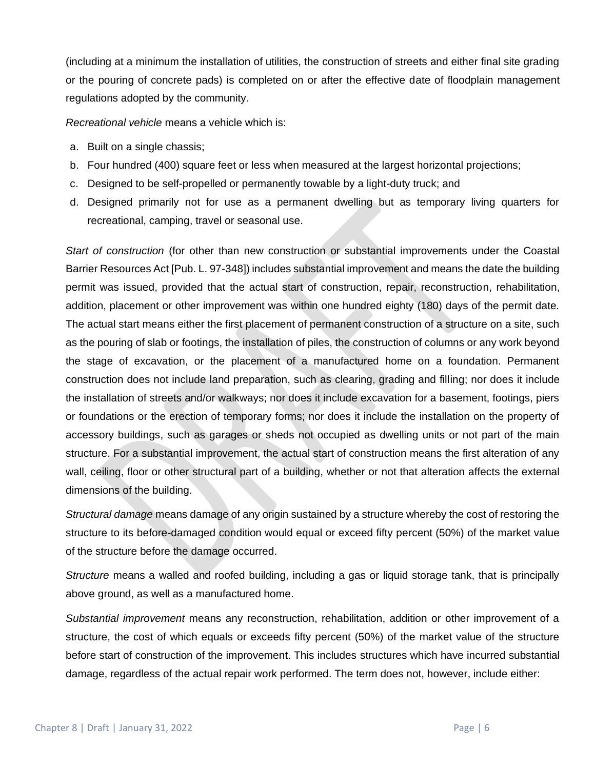(including at a minimum the installation of utilities, the construction of streets and either final site grading or the pouring of concrete pads) is completed on or after the effective date of floodplain management regulations adopted by the community.

*Recreational vehicle* means a vehicle which is:

- a. Built on a single chassis;
- b. Four hundred (400) square feet or less when measured at the largest horizontal projections;
- c. Designed to be self-propelled or permanently towable by a light-duty truck; and
- d. Designed primarily not for use as a permanent dwelling but as temporary living quarters for recreational, camping, travel or seasonal use.

*Start of construction* (for other than new construction or substantial improvements under the Coastal Barrier Resources Act [Pub. L. 97-348]) includes substantial improvement and means the date the building permit was issued, provided that the actual start of construction, repair, reconstruction, rehabilitation, addition, placement or other improvement was within one hundred eighty (180) days of the permit date. The actual start means either the first placement of permanent construction of a structure on a site, such as the pouring of slab or footings, the installation of piles, the construction of columns or any work beyond the stage of excavation, or the placement of a manufactured home on a foundation. Permanent construction does not include land preparation, such as clearing, grading and filling; nor does it include the installation of streets and/or walkways; nor does it include excavation for a basement, footings, piers or foundations or the erection of temporary forms; nor does it include the installation on the property of accessory buildings, such as garages or sheds not occupied as dwelling units or not part of the main structure. For a substantial improvement, the actual start of construction means the first alteration of any wall, ceiling, floor or other structural part of a building, whether or not that alteration affects the external dimensions of the building.

*Structural damage* means damage of any origin sustained by a structure whereby the cost of restoring the structure to its before-damaged condition would equal or exceed fifty percent (50%) of the market value of the structure before the damage occurred.

*Structure* means a walled and roofed building, including a gas or liquid storage tank, that is principally above ground, as well as a manufactured home.

*Substantial improvement* means any reconstruction, rehabilitation, addition or other improvement of a structure, the cost of which equals or exceeds fifty percent (50%) of the market value of the structure before start of construction of the improvement. This includes structures which have incurred substantial damage, regardless of the actual repair work performed. The term does not, however, include either: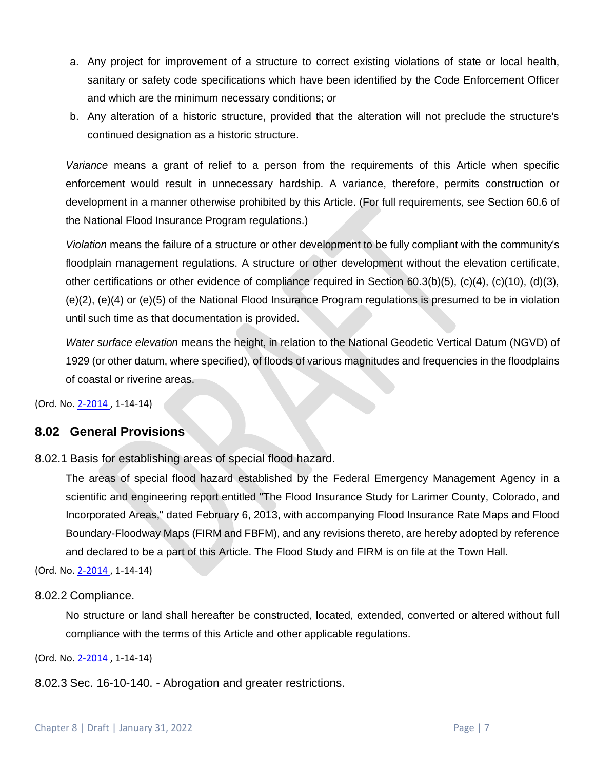- a. Any project for improvement of a structure to correct existing violations of state or local health, sanitary or safety code specifications which have been identified by the Code Enforcement Officer and which are the minimum necessary conditions; or
- b. Any alteration of a historic structure, provided that the alteration will not preclude the structure's continued designation as a historic structure.

*Variance* means a grant of relief to a person from the requirements of this Article when specific enforcement would result in unnecessary hardship. A variance, therefore, permits construction or development in a manner otherwise prohibited by this Article. (For full requirements, see Section 60.6 of the National Flood Insurance Program regulations.)

*Violation* means the failure of a structure or other development to be fully compliant with the community's floodplain management regulations. A structure or other development without the elevation certificate, other certifications or other evidence of compliance required in Section 60.3(b)(5), (c)(4), (c)(10), (d)(3), (e)(2), (e)(4) or (e)(5) of the National Flood Insurance Program regulations is presumed to be in violation until such time as that documentation is provided.

*Water surface elevation* means the height, in relation to the National Geodetic Vertical Datum (NGVD) of 1929 (or other datum, where specified), of floods of various magnitudes and frequencies in the floodplains of coastal or riverine areas.

(Ord. No[. 2-2014 ,](http://newords.municode.com/readordinance.aspx?ordinanceid=823163&datasource=ordbank) 1-14-14)

# **8.02 General Provisions**

8.02.1 Basis for establishing areas of special flood hazard.

The areas of special flood hazard established by the Federal Emergency Management Agency in a scientific and engineering report entitled "The Flood Insurance Study for Larimer County, Colorado, and Incorporated Areas," dated February 6, 2013, with accompanying Flood Insurance Rate Maps and Flood Boundary-Floodway Maps (FIRM and FBFM), and any revisions thereto, are hereby adopted by reference and declared to be a part of this Article. The Flood Study and FIRM is on file at the Town Hall.

(Ord. No[. 2-2014 ,](http://newords.municode.com/readordinance.aspx?ordinanceid=823163&datasource=ordbank) 1-14-14)

#### 8.02.2 Compliance.

No structure or land shall hereafter be constructed, located, extended, converted or altered without full compliance with the terms of this Article and other applicable regulations.

(Ord. No[. 2-2014 ,](http://newords.municode.com/readordinance.aspx?ordinanceid=823163&datasource=ordbank) 1-14-14)

8.02.3 Sec. 16-10-140. - Abrogation and greater restrictions.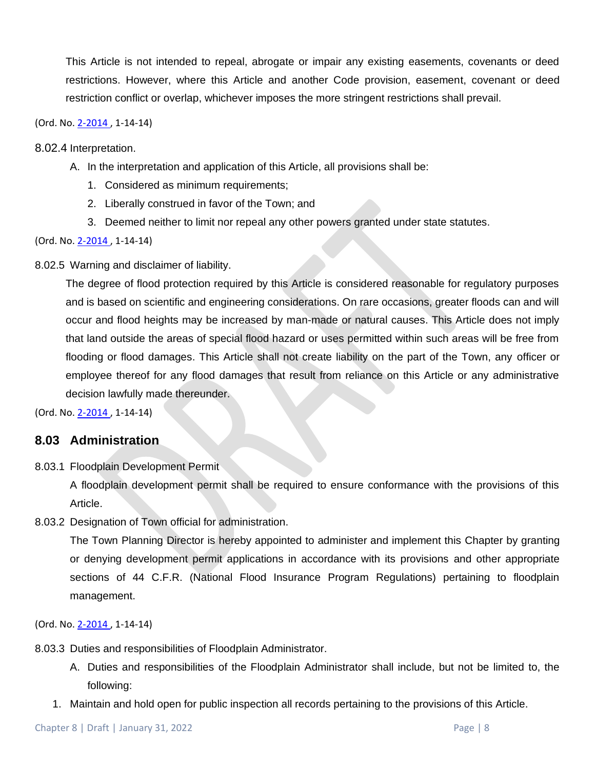This Article is not intended to repeal, abrogate or impair any existing easements, covenants or deed restrictions. However, where this Article and another Code provision, easement, covenant or deed restriction conflict or overlap, whichever imposes the more stringent restrictions shall prevail.

#### (Ord. No[. 2-2014 ,](http://newords.municode.com/readordinance.aspx?ordinanceid=823163&datasource=ordbank) 1-14-14)

#### 8.02.4 Interpretation.

- A. In the interpretation and application of this Article, all provisions shall be:
	- 1. Considered as minimum requirements;
	- 2. Liberally construed in favor of the Town; and
	- 3. Deemed neither to limit nor repeal any other powers granted under state statutes.

#### (Ord. No[. 2-2014 ,](http://newords.municode.com/readordinance.aspx?ordinanceid=823163&datasource=ordbank) 1-14-14)

8.02.5 Warning and disclaimer of liability.

The degree of flood protection required by this Article is considered reasonable for regulatory purposes and is based on scientific and engineering considerations. On rare occasions, greater floods can and will occur and flood heights may be increased by man-made or natural causes. This Article does not imply that land outside the areas of special flood hazard or uses permitted within such areas will be free from flooding or flood damages. This Article shall not create liability on the part of the Town, any officer or employee thereof for any flood damages that result from reliance on this Article or any administrative decision lawfully made thereunder.

(Ord. No[. 2-2014 ,](http://newords.municode.com/readordinance.aspx?ordinanceid=823163&datasource=ordbank) 1-14-14)

### **8.03 Administration**

8.03.1 Floodplain Development Permit

A floodplain development permit shall be required to ensure conformance with the provisions of this Article.

8.03.2 Designation of Town official for administration.

The Town Planning Director is hereby appointed to administer and implement this Chapter by granting or denying development permit applications in accordance with its provisions and other appropriate sections of 44 C.F.R. (National Flood Insurance Program Regulations) pertaining to floodplain management.

- 8.03.3 Duties and responsibilities of Floodplain Administrator.
	- A. Duties and responsibilities of the Floodplain Administrator shall include, but not be limited to, the following:
	- 1. Maintain and hold open for public inspection all records pertaining to the provisions of this Article.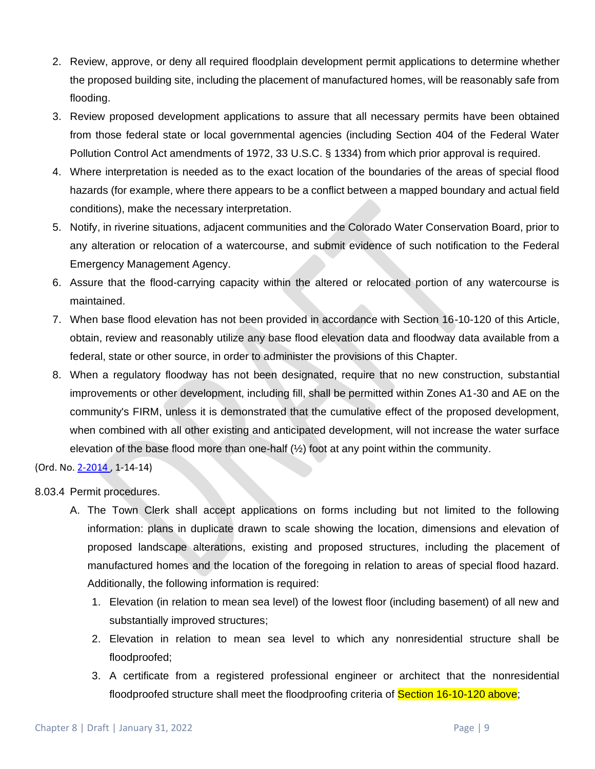- 2. Review, approve, or deny all required floodplain development permit applications to determine whether the proposed building site, including the placement of manufactured homes, will be reasonably safe from flooding.
- 3. Review proposed development applications to assure that all necessary permits have been obtained from those federal state or local governmental agencies (including Section 404 of the Federal Water Pollution Control Act amendments of 1972, 33 U.S.C. § 1334) from which prior approval is required.
- 4. Where interpretation is needed as to the exact location of the boundaries of the areas of special flood hazards (for example, where there appears to be a conflict between a mapped boundary and actual field conditions), make the necessary interpretation.
- 5. Notify, in riverine situations, adjacent communities and the Colorado Water Conservation Board, prior to any alteration or relocation of a watercourse, and submit evidence of such notification to the Federal Emergency Management Agency.
- 6. Assure that the flood-carrying capacity within the altered or relocated portion of any watercourse is maintained.
- 7. When base flood elevation has not been provided in accordance with Section 16-10-120 of this Article, obtain, review and reasonably utilize any base flood elevation data and floodway data available from a federal, state or other source, in order to administer the provisions of this Chapter.
- 8. When a regulatory floodway has not been designated, require that no new construction, substantial improvements or other development, including fill, shall be permitted within Zones A1-30 and AE on the community's FIRM, unless it is demonstrated that the cumulative effect of the proposed development, when combined with all other existing and anticipated development, will not increase the water surface elevation of the base flood more than one-half (½) foot at any point within the community.

- 8.03.4 Permit procedures.
	- A. The Town Clerk shall accept applications on forms including but not limited to the following information: plans in duplicate drawn to scale showing the location, dimensions and elevation of proposed landscape alterations, existing and proposed structures, including the placement of manufactured homes and the location of the foregoing in relation to areas of special flood hazard. Additionally, the following information is required:
		- 1. Elevation (in relation to mean sea level) of the lowest floor (including basement) of all new and substantially improved structures;
		- 2. Elevation in relation to mean sea level to which any nonresidential structure shall be floodproofed;
		- 3. A certificate from a registered professional engineer or architect that the nonresidential floodproofed structure shall meet the floodproofing criteria of **Section 16-10-120 above**;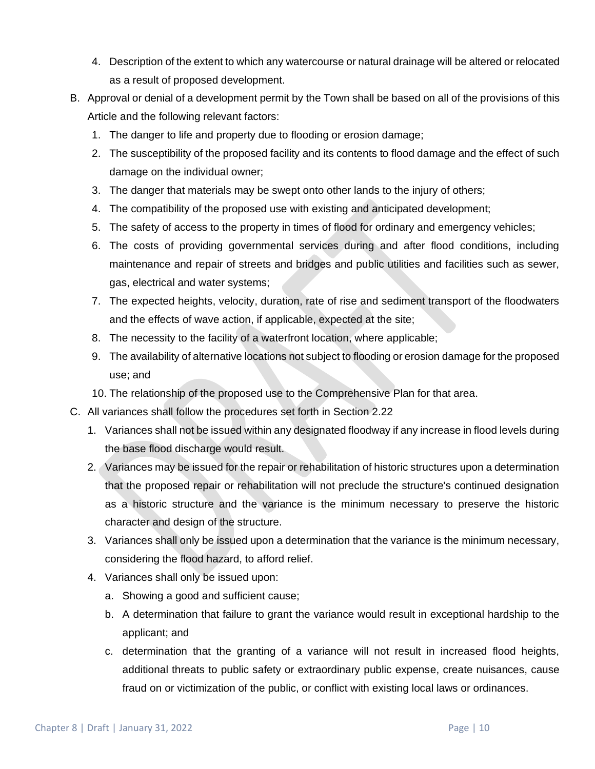- 4. Description of the extent to which any watercourse or natural drainage will be altered or relocated as a result of proposed development.
- B. Approval or denial of a development permit by the Town shall be based on all of the provisions of this Article and the following relevant factors:
	- 1. The danger to life and property due to flooding or erosion damage;
	- 2. The susceptibility of the proposed facility and its contents to flood damage and the effect of such damage on the individual owner;
	- 3. The danger that materials may be swept onto other lands to the injury of others;
	- 4. The compatibility of the proposed use with existing and anticipated development;
	- 5. The safety of access to the property in times of flood for ordinary and emergency vehicles;
	- 6. The costs of providing governmental services during and after flood conditions, including maintenance and repair of streets and bridges and public utilities and facilities such as sewer, gas, electrical and water systems;
	- 7. The expected heights, velocity, duration, rate of rise and sediment transport of the floodwaters and the effects of wave action, if applicable, expected at the site;
	- 8. The necessity to the facility of a waterfront location, where applicable;
	- 9. The availability of alternative locations not subject to flooding or erosion damage for the proposed use; and
	- 10. The relationship of the proposed use to the Comprehensive Plan for that area.
- C. All variances shall follow the procedures set forth in Section 2.22
	- 1. Variances shall not be issued within any designated floodway if any increase in flood levels during the base flood discharge would result.
	- 2. Variances may be issued for the repair or rehabilitation of historic structures upon a determination that the proposed repair or rehabilitation will not preclude the structure's continued designation as a historic structure and the variance is the minimum necessary to preserve the historic character and design of the structure.
	- 3. Variances shall only be issued upon a determination that the variance is the minimum necessary, considering the flood hazard, to afford relief.
	- 4. Variances shall only be issued upon:
		- a. Showing a good and sufficient cause;
		- b. A determination that failure to grant the variance would result in exceptional hardship to the applicant; and
		- c. determination that the granting of a variance will not result in increased flood heights, additional threats to public safety or extraordinary public expense, create nuisances, cause fraud on or victimization of the public, or conflict with existing local laws or ordinances.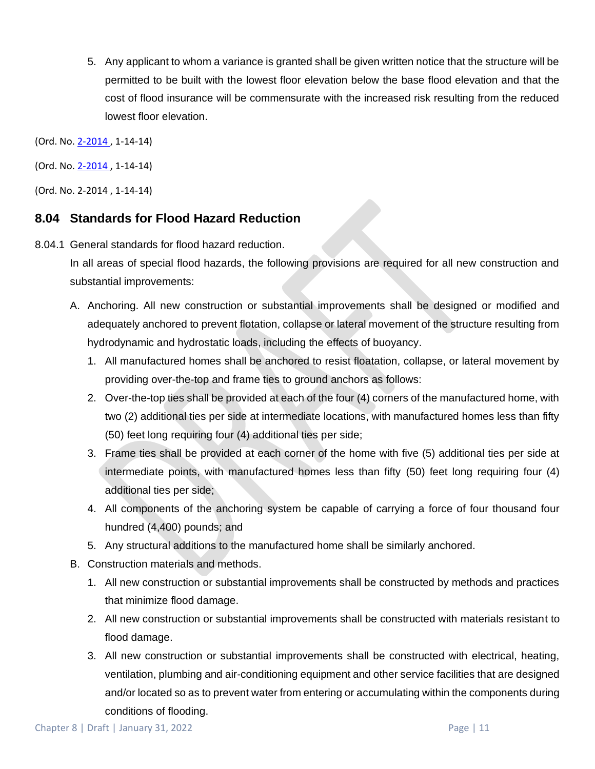5. Any applicant to whom a variance is granted shall be given written notice that the structure will be permitted to be built with the lowest floor elevation below the base flood elevation and that the cost of flood insurance will be commensurate with the increased risk resulting from the reduced lowest floor elevation.

(Ord. No. 2-2014, 1-14-14)

(Ord. No[. 2-2014 ,](http://newords.municode.com/readordinance.aspx?ordinanceid=823163&datasource=ordbank) 1-14-14)

(Ord. No[. 2-2014 ,](http://newords.municode.com/readordinance.aspx?ordinanceid=823163&datasource=ordbank) 1-14-14)

# **8.04 Standards for Flood Hazard Reduction**

8.04.1 General standards for flood hazard reduction.

In all areas of special flood hazards, the following provisions are required for all new construction and substantial improvements:

- A. Anchoring. All new construction or substantial improvements shall be designed or modified and adequately anchored to prevent flotation, collapse or lateral movement of the structure resulting from hydrodynamic and hydrostatic loads, including the effects of buoyancy.
	- 1. All manufactured homes shall be anchored to resist floatation, collapse, or lateral movement by providing over-the-top and frame ties to ground anchors as follows:
	- 2. Over-the-top ties shall be provided at each of the four (4) corners of the manufactured home, with two (2) additional ties per side at intermediate locations, with manufactured homes less than fifty (50) feet long requiring four (4) additional ties per side;
	- 3. Frame ties shall be provided at each corner of the home with five (5) additional ties per side at intermediate points, with manufactured homes less than fifty (50) feet long requiring four (4) additional ties per side;
	- 4. All components of the anchoring system be capable of carrying a force of four thousand four hundred (4,400) pounds; and
	- 5. Any structural additions to the manufactured home shall be similarly anchored.
- B. Construction materials and methods.
	- 1. All new construction or substantial improvements shall be constructed by methods and practices that minimize flood damage.
	- 2. All new construction or substantial improvements shall be constructed with materials resistant to flood damage.
	- 3. All new construction or substantial improvements shall be constructed with electrical, heating, ventilation, plumbing and air-conditioning equipment and other service facilities that are designed and/or located so as to prevent water from entering or accumulating within the components during conditions of flooding.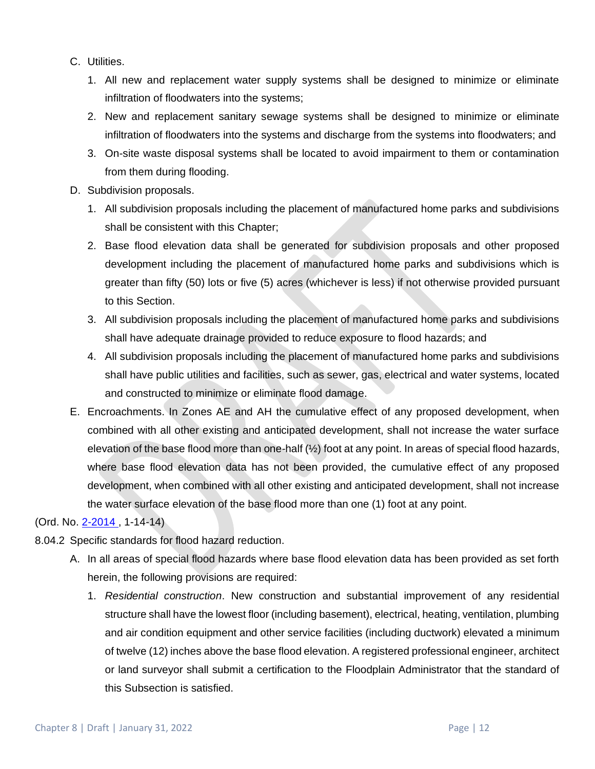- C. Utilities.
	- 1. All new and replacement water supply systems shall be designed to minimize or eliminate infiltration of floodwaters into the systems;
	- 2. New and replacement sanitary sewage systems shall be designed to minimize or eliminate infiltration of floodwaters into the systems and discharge from the systems into floodwaters; and
	- 3. On-site waste disposal systems shall be located to avoid impairment to them or contamination from them during flooding.
- D. Subdivision proposals.
	- 1. All subdivision proposals including the placement of manufactured home parks and subdivisions shall be consistent with this Chapter;
	- 2. Base flood elevation data shall be generated for subdivision proposals and other proposed development including the placement of manufactured home parks and subdivisions which is greater than fifty (50) lots or five (5) acres (whichever is less) if not otherwise provided pursuant to this Section.
	- 3. All subdivision proposals including the placement of manufactured home parks and subdivisions shall have adequate drainage provided to reduce exposure to flood hazards; and
	- 4. All subdivision proposals including the placement of manufactured home parks and subdivisions shall have public utilities and facilities, such as sewer, gas, electrical and water systems, located and constructed to minimize or eliminate flood damage.
- E. Encroachments. In Zones AE and AH the cumulative effect of any proposed development, when combined with all other existing and anticipated development, shall not increase the water surface elevation of the base flood more than one-half (½) foot at any point. In areas of special flood hazards, where base flood elevation data has not been provided, the cumulative effect of any proposed development, when combined with all other existing and anticipated development, shall not increase the water surface elevation of the base flood more than one (1) foot at any point.

- 8.04.2 Specific standards for flood hazard reduction.
	- A. In all areas of special flood hazards where base flood elevation data has been provided as set forth herein, the following provisions are required:
		- 1. *Residential construction*. New construction and substantial improvement of any residential structure shall have the lowest floor (including basement), electrical, heating, ventilation, plumbing and air condition equipment and other service facilities (including ductwork) elevated a minimum of twelve (12) inches above the base flood elevation. A registered professional engineer, architect or land surveyor shall submit a certification to the Floodplain Administrator that the standard of this Subsection is satisfied.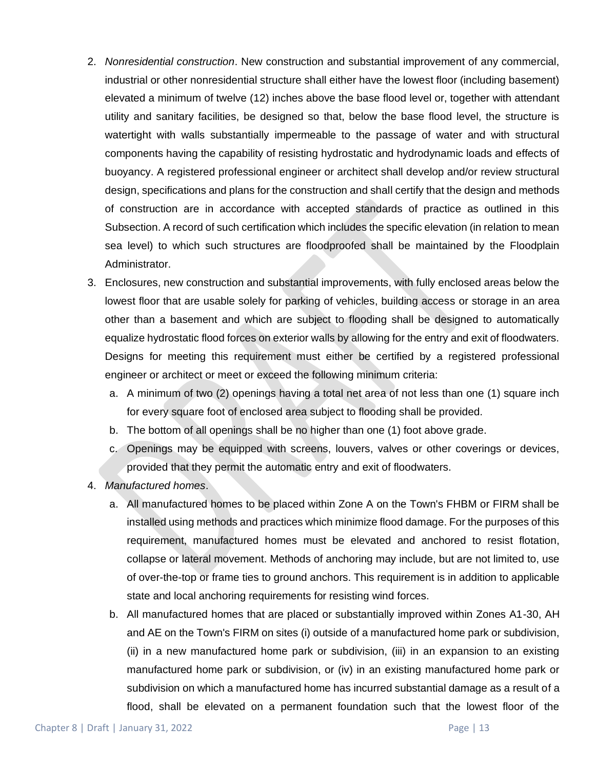- 2. *Nonresidential construction*. New construction and substantial improvement of any commercial, industrial or other nonresidential structure shall either have the lowest floor (including basement) elevated a minimum of twelve (12) inches above the base flood level or, together with attendant utility and sanitary facilities, be designed so that, below the base flood level, the structure is watertight with walls substantially impermeable to the passage of water and with structural components having the capability of resisting hydrostatic and hydrodynamic loads and effects of buoyancy. A registered professional engineer or architect shall develop and/or review structural design, specifications and plans for the construction and shall certify that the design and methods of construction are in accordance with accepted standards of practice as outlined in this Subsection. A record of such certification which includes the specific elevation (in relation to mean sea level) to which such structures are floodproofed shall be maintained by the Floodplain Administrator.
- 3. Enclosures, new construction and substantial improvements, with fully enclosed areas below the lowest floor that are usable solely for parking of vehicles, building access or storage in an area other than a basement and which are subject to flooding shall be designed to automatically equalize hydrostatic flood forces on exterior walls by allowing for the entry and exit of floodwaters. Designs for meeting this requirement must either be certified by a registered professional engineer or architect or meet or exceed the following minimum criteria:
	- a. A minimum of two (2) openings having a total net area of not less than one (1) square inch for every square foot of enclosed area subject to flooding shall be provided.
	- b. The bottom of all openings shall be no higher than one (1) foot above grade.
	- c. Openings may be equipped with screens, louvers, valves or other coverings or devices, provided that they permit the automatic entry and exit of floodwaters.
- 4. *Manufactured homes*.
	- a. All manufactured homes to be placed within Zone A on the Town's FHBM or FIRM shall be installed using methods and practices which minimize flood damage. For the purposes of this requirement, manufactured homes must be elevated and anchored to resist flotation, collapse or lateral movement. Methods of anchoring may include, but are not limited to, use of over-the-top or frame ties to ground anchors. This requirement is in addition to applicable state and local anchoring requirements for resisting wind forces.
	- b. All manufactured homes that are placed or substantially improved within Zones A1-30, AH and AE on the Town's FIRM on sites (i) outside of a manufactured home park or subdivision, (ii) in a new manufactured home park or subdivision, (iii) in an expansion to an existing manufactured home park or subdivision, or (iv) in an existing manufactured home park or subdivision on which a manufactured home has incurred substantial damage as a result of a flood, shall be elevated on a permanent foundation such that the lowest floor of the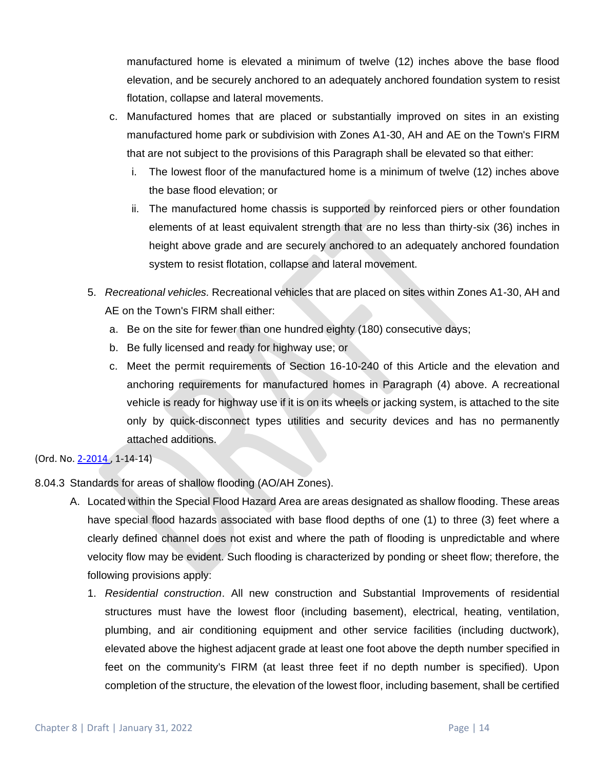manufactured home is elevated a minimum of twelve (12) inches above the base flood elevation, and be securely anchored to an adequately anchored foundation system to resist flotation, collapse and lateral movements.

- c. Manufactured homes that are placed or substantially improved on sites in an existing manufactured home park or subdivision with Zones A1-30, AH and AE on the Town's FIRM that are not subject to the provisions of this Paragraph shall be elevated so that either:
	- i. The lowest floor of the manufactured home is a minimum of twelve (12) inches above the base flood elevation; or
	- ii. The manufactured home chassis is supported by reinforced piers or other foundation elements of at least equivalent strength that are no less than thirty-six (36) inches in height above grade and are securely anchored to an adequately anchored foundation system to resist flotation, collapse and lateral movement.
- 5. *Recreational vehicles.* Recreational vehicles that are placed on sites within Zones A1-30, AH and AE on the Town's FIRM shall either:
	- a. Be on the site for fewer than one hundred eighty (180) consecutive days;
	- b. Be fully licensed and ready for highway use; or
	- c. Meet the permit requirements of Section 16-10-240 of this Article and the elevation and anchoring requirements for manufactured homes in Paragraph (4) above. A recreational vehicle is ready for highway use if it is on its wheels or jacking system, is attached to the site only by quick-disconnect types utilities and security devices and has no permanently attached additions.

- 8.04.3 Standards for areas of shallow flooding (AO/AH Zones).
	- A. Located within the Special Flood Hazard Area are areas designated as shallow flooding. These areas have special flood hazards associated with base flood depths of one (1) to three (3) feet where a clearly defined channel does not exist and where the path of flooding is unpredictable and where velocity flow may be evident. Such flooding is characterized by ponding or sheet flow; therefore, the following provisions apply:
		- 1. *Residential construction*. All new construction and Substantial Improvements of residential structures must have the lowest floor (including basement), electrical, heating, ventilation, plumbing, and air conditioning equipment and other service facilities (including ductwork), elevated above the highest adjacent grade at least one foot above the depth number specified in feet on the community's FIRM (at least three feet if no depth number is specified). Upon completion of the structure, the elevation of the lowest floor, including basement, shall be certified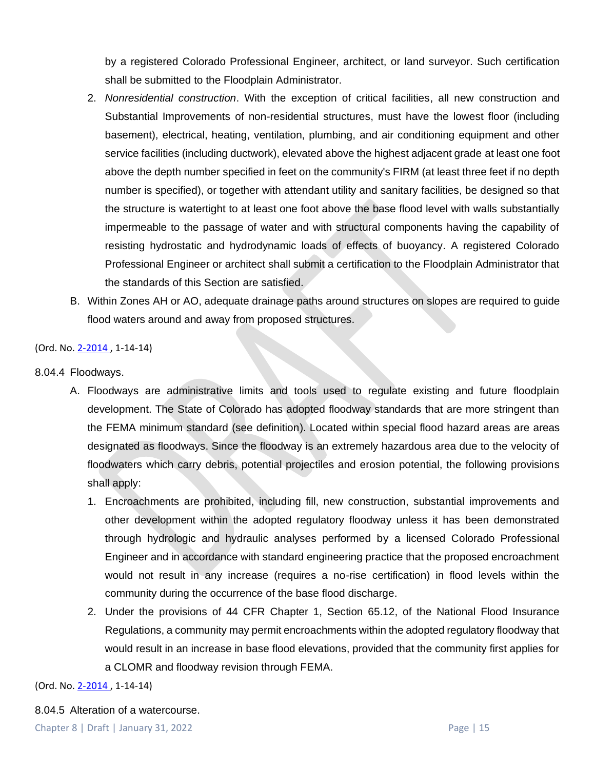by a registered Colorado Professional Engineer, architect, or land surveyor. Such certification shall be submitted to the Floodplain Administrator.

- 2. *Nonresidential construction*. With the exception of critical facilities, all new construction and Substantial Improvements of non-residential structures, must have the lowest floor (including basement), electrical, heating, ventilation, plumbing, and air conditioning equipment and other service facilities (including ductwork), elevated above the highest adjacent grade at least one foot above the depth number specified in feet on the community's FIRM (at least three feet if no depth number is specified), or together with attendant utility and sanitary facilities, be designed so that the structure is watertight to at least one foot above the base flood level with walls substantially impermeable to the passage of water and with structural components having the capability of resisting hydrostatic and hydrodynamic loads of effects of buoyancy. A registered Colorado Professional Engineer or architect shall submit a certification to the Floodplain Administrator that the standards of this Section are satisfied.
- B. Within Zones AH or AO, adequate drainage paths around structures on slopes are required to guide flood waters around and away from proposed structures.

(Ord. No[. 2-2014 ,](http://newords.municode.com/readordinance.aspx?ordinanceid=823163&datasource=ordbank) 1-14-14)

- 8.04.4 Floodways.
	- A. Floodways are administrative limits and tools used to regulate existing and future floodplain development. The State of Colorado has adopted floodway standards that are more stringent than the FEMA minimum standard (see definition). Located within special flood hazard areas are areas designated as floodways. Since the floodway is an extremely hazardous area due to the velocity of floodwaters which carry debris, potential projectiles and erosion potential, the following provisions shall apply:
		- 1. Encroachments are prohibited, including fill, new construction, substantial improvements and other development within the adopted regulatory floodway unless it has been demonstrated through hydrologic and hydraulic analyses performed by a licensed Colorado Professional Engineer and in accordance with standard engineering practice that the proposed encroachment would not result in any increase (requires a no-rise certification) in flood levels within the community during the occurrence of the base flood discharge.
		- 2. Under the provisions of 44 CFR Chapter 1, Section 65.12, of the National Flood Insurance Regulations, a community may permit encroachments within the adopted regulatory floodway that would result in an increase in base flood elevations, provided that the community first applies for a CLOMR and floodway revision through FEMA.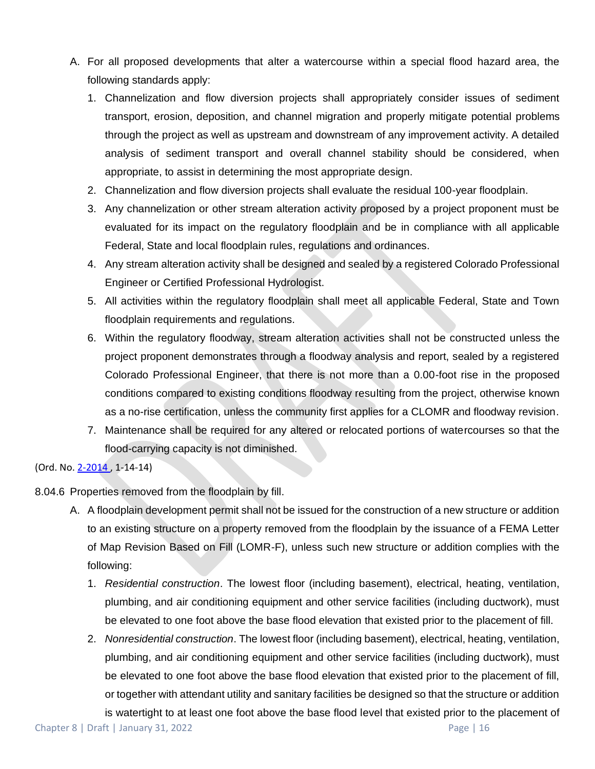- A. For all proposed developments that alter a watercourse within a special flood hazard area, the following standards apply:
	- 1. Channelization and flow diversion projects shall appropriately consider issues of sediment transport, erosion, deposition, and channel migration and properly mitigate potential problems through the project as well as upstream and downstream of any improvement activity. A detailed analysis of sediment transport and overall channel stability should be considered, when appropriate, to assist in determining the most appropriate design.
	- 2. Channelization and flow diversion projects shall evaluate the residual 100-year floodplain.
	- 3. Any channelization or other stream alteration activity proposed by a project proponent must be evaluated for its impact on the regulatory floodplain and be in compliance with all applicable Federal, State and local floodplain rules, regulations and ordinances.
	- 4. Any stream alteration activity shall be designed and sealed by a registered Colorado Professional Engineer or Certified Professional Hydrologist.
	- 5. All activities within the regulatory floodplain shall meet all applicable Federal, State and Town floodplain requirements and regulations.
	- 6. Within the regulatory floodway, stream alteration activities shall not be constructed unless the project proponent demonstrates through a floodway analysis and report, sealed by a registered Colorado Professional Engineer, that there is not more than a 0.00-foot rise in the proposed conditions compared to existing conditions floodway resulting from the project, otherwise known as a no-rise certification, unless the community first applies for a CLOMR and floodway revision.
	- 7. Maintenance shall be required for any altered or relocated portions of watercourses so that the flood-carrying capacity is not diminished.

- 8.04.6 Properties removed from the floodplain by fill.
	- A. A floodplain development permit shall not be issued for the construction of a new structure or addition to an existing structure on a property removed from the floodplain by the issuance of a FEMA Letter of Map Revision Based on Fill (LOMR-F), unless such new structure or addition complies with the following:
		- 1. *Residential construction*. The lowest floor (including basement), electrical, heating, ventilation, plumbing, and air conditioning equipment and other service facilities (including ductwork), must be elevated to one foot above the base flood elevation that existed prior to the placement of fill.
		- 2. *Nonresidential construction*. The lowest floor (including basement), electrical, heating, ventilation, plumbing, and air conditioning equipment and other service facilities (including ductwork), must be elevated to one foot above the base flood elevation that existed prior to the placement of fill, or together with attendant utility and sanitary facilities be designed so that the structure or addition

is watertight to at least one foot above the base flood level that existed prior to the placement of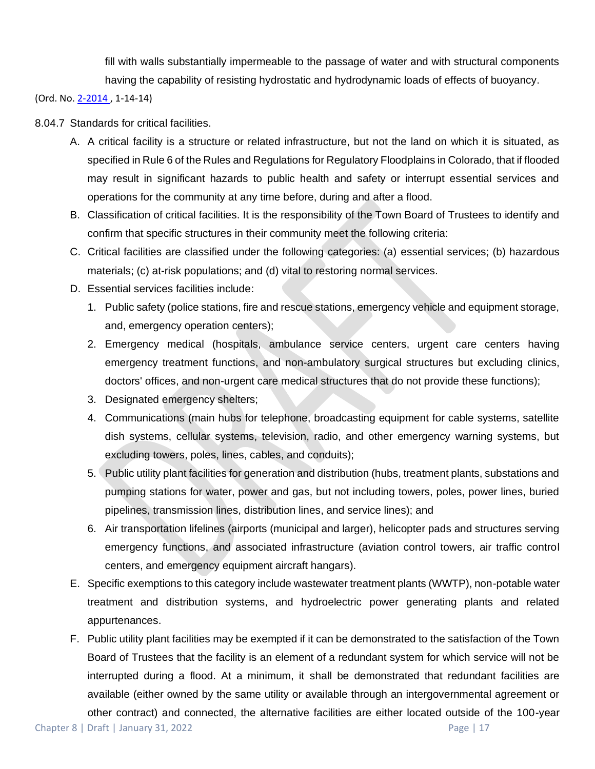fill with walls substantially impermeable to the passage of water and with structural components having the capability of resisting hydrostatic and hydrodynamic loads of effects of buoyancy.

(Ord. No[. 2-2014 ,](http://newords.municode.com/readordinance.aspx?ordinanceid=823163&datasource=ordbank) 1-14-14)

### 8.04.7 Standards for critical facilities.

- A. A critical facility is a structure or related infrastructure, but not the land on which it is situated, as specified in Rule 6 of the Rules and Regulations for Regulatory Floodplains in Colorado, that if flooded may result in significant hazards to public health and safety or interrupt essential services and operations for the community at any time before, during and after a flood.
- B. Classification of critical facilities. It is the responsibility of the Town Board of Trustees to identify and confirm that specific structures in their community meet the following criteria:
- C. Critical facilities are classified under the following categories: (a) essential services; (b) hazardous materials; (c) at-risk populations; and (d) vital to restoring normal services.
- D. Essential services facilities include:
	- 1. Public safety (police stations, fire and rescue stations, emergency vehicle and equipment storage, and, emergency operation centers);
	- 2. Emergency medical (hospitals, ambulance service centers, urgent care centers having emergency treatment functions, and non-ambulatory surgical structures but excluding clinics, doctors' offices, and non-urgent care medical structures that do not provide these functions);
	- 3. Designated emergency shelters;
	- 4. Communications (main hubs for telephone, broadcasting equipment for cable systems, satellite dish systems, cellular systems, television, radio, and other emergency warning systems, but excluding towers, poles, lines, cables, and conduits);
	- 5. Public utility plant facilities for generation and distribution (hubs, treatment plants, substations and pumping stations for water, power and gas, but not including towers, poles, power lines, buried pipelines, transmission lines, distribution lines, and service lines); and
	- 6. Air transportation lifelines (airports (municipal and larger), helicopter pads and structures serving emergency functions, and associated infrastructure (aviation control towers, air traffic control centers, and emergency equipment aircraft hangars).
- E. Specific exemptions to this category include wastewater treatment plants (WWTP), non-potable water treatment and distribution systems, and hydroelectric power generating plants and related appurtenances.
- F. Public utility plant facilities may be exempted if it can be demonstrated to the satisfaction of the Town Board of Trustees that the facility is an element of a redundant system for which service will not be interrupted during a flood. At a minimum, it shall be demonstrated that redundant facilities are available (either owned by the same utility or available through an intergovernmental agreement or other contract) and connected, the alternative facilities are either located outside of the 100-year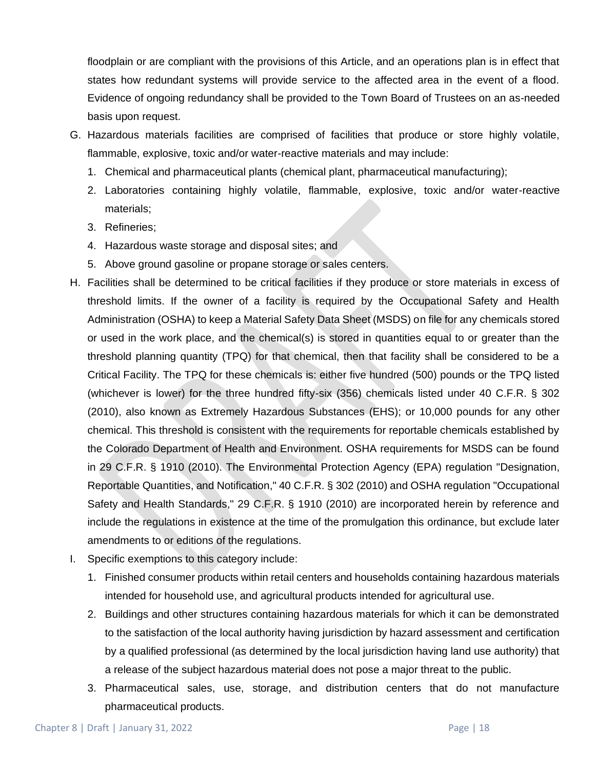floodplain or are compliant with the provisions of this Article, and an operations plan is in effect that states how redundant systems will provide service to the affected area in the event of a flood. Evidence of ongoing redundancy shall be provided to the Town Board of Trustees on an as-needed basis upon request.

- G. Hazardous materials facilities are comprised of facilities that produce or store highly volatile, flammable, explosive, toxic and/or water-reactive materials and may include:
	- 1. Chemical and pharmaceutical plants (chemical plant, pharmaceutical manufacturing);
	- 2. Laboratories containing highly volatile, flammable, explosive, toxic and/or water-reactive materials;
	- 3. Refineries;
	- 4. Hazardous waste storage and disposal sites; and
	- 5. Above ground gasoline or propane storage or sales centers.
- H. Facilities shall be determined to be critical facilities if they produce or store materials in excess of threshold limits. If the owner of a facility is required by the Occupational Safety and Health Administration (OSHA) to keep a Material Safety Data Sheet (MSDS) on file for any chemicals stored or used in the work place, and the chemical(s) is stored in quantities equal to or greater than the threshold planning quantity (TPQ) for that chemical, then that facility shall be considered to be a Critical Facility. The TPQ for these chemicals is: either five hundred (500) pounds or the TPQ listed (whichever is lower) for the three hundred fifty-six (356) chemicals listed under 40 C.F.R. § 302 (2010), also known as Extremely Hazardous Substances (EHS); or 10,000 pounds for any other chemical. This threshold is consistent with the requirements for reportable chemicals established by the Colorado Department of Health and Environment. OSHA requirements for MSDS can be found in 29 C.F.R. § 1910 (2010). The Environmental Protection Agency (EPA) regulation "Designation, Reportable Quantities, and Notification," 40 C.F.R. § 302 (2010) and OSHA regulation "Occupational Safety and Health Standards," 29 C.F.R. § 1910 (2010) are incorporated herein by reference and include the regulations in existence at the time of the promulgation this ordinance, but exclude later amendments to or editions of the regulations.
- I. Specific exemptions to this category include:
	- 1. Finished consumer products within retail centers and households containing hazardous materials intended for household use, and agricultural products intended for agricultural use.
	- 2. Buildings and other structures containing hazardous materials for which it can be demonstrated to the satisfaction of the local authority having jurisdiction by hazard assessment and certification by a qualified professional (as determined by the local jurisdiction having land use authority) that a release of the subject hazardous material does not pose a major threat to the public.
	- 3. Pharmaceutical sales, use, storage, and distribution centers that do not manufacture pharmaceutical products.